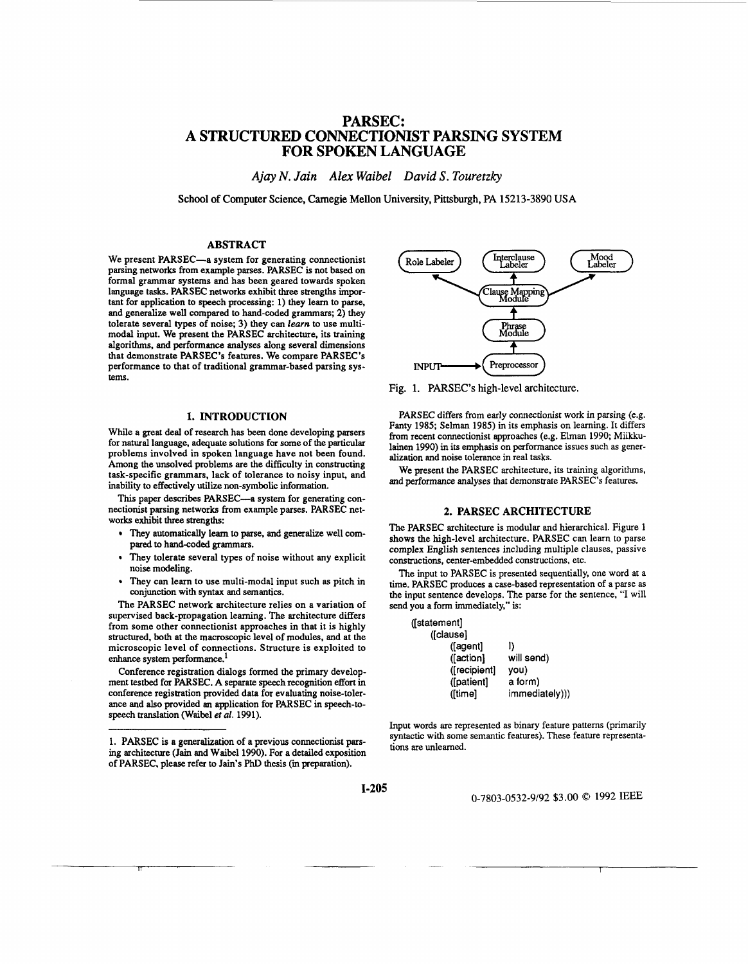# **PARSEC: A STRUCTURED CONNECTIONIST PARSING SYSTEM FOR SPOKEN LANGUAGE**

*Ajay N. Jain Alex Waibel David* **S.** *Touretzky* 

**School of Computer Science, Camegie Mellon University, Pittsburgh, PA 15213-3890 USA** 

# **ABSTRACT**

We present PARSEC-a system for generating connectionist parsing networks from example parses. PARSEC is not based on formal grammar systems and has been geared towards spoken language tasks. PARSEC networks exhibit three strengths important for application to speech processing: 1) they leam to parse, and generalize well compared to hand-coded grammars; **2)** they tolerate several types of noise; 3) they can *learn* **to** use multimodal input. We present the PARSEC architecture, its training algorithms, and performance analyses along several dimensions that demonstrate PARSEC's features. We compare PARSEC's performance to that of traditional grammar-based parsing **sys**tems.

# **1. INTRODUCTION**

While a great deal of research has **been** done developing parsers for natural language, adequate solutions **for** some of the particular problems involved in spoken language have not been found. Among the unsolved problems are the difficulty in constructing task-specific grammars, lack of tolerance to noisy input, and inability to effectively **utilize** non-symbolic information.

This paper describes PARSEC-a system for generating connectionist parsing networks from example parses. PARSEC networks exhibit three strengths:

- They automatically leam to parse. and generalize well compared to hand-coded grammars.
- They tolerate several types of noise without any explicit noise modeling.
- They can learn to use multi-modal input such **as** pitch in conjunction with syntax and semantics.

The PARSEC network architecture relies on a variation of supervised back-propagation learning. The architecture differs from some other connectionist approaches in that it is highly structured, **both** at the macroscopic level of modules, and at the microscopic level of connections. Structure is exploited to enhance system performance.<sup>1</sup>

Conference registration dialogs formed the primary development testbed for PARSEC. A separate speech recognition effort in conference registration provided data for evaluating noise-tolerance **and also** provided an application for PARSEC in speech-tospeech translation (Waibel et al. 1991).



**Fig. 1. PARSEC's high-level architecture.** 

PARSEC differs from early connectionist work in parsing (e.g. Fanty 1985; Selman 1985) in its emphasis on learning. It differs from recent connectionist approaches (e.g. Elman 1990; Miikkulainen 1990) in its emphasis on performance issues such as generalization and noise tolerance in real tasks.

We present the PARSEC architecture, its training algorithms, and performance analyses that demonstrate PARSEC's features.

### **2. PARSEC ARCHITECTURE**

The PARSEC architecture is modular and hierarchical. Figure 1 shows the high-level architecture. PARSEC can learn to parse complex English sentences including multiple clauses, passive constructions, center-embedded conslructions, etc.

The input to PARSEC is presented sequentially, one word at a time. PARSEC produces **a** case-based representation of a parse as the input sentence develops. The parse for the sentence, "I will send you a form immediately." is:

| ([statement] |                |
|--------------|----------------|
| ([clause]    |                |
| (fagent)     | I)             |
| ([action]    | will send)     |
| ([recipient] | you)           |
| ([patient]   | a form)        |
| ([time]      | immediately))) |

Input words are represented as binary feature patterns (primarily syntactic with some semantic fearures). These feature representations are unlearned.

O-7803-0532-9/92 \$3.00 *0* 1992 IEEE

<sup>1.</sup> PARSEC **is** a generalization of a previous connectionist **pars**ing architecture **(Jain** and Waibel1990). For a detailed exposition of PARSEC, please refer to **Jain's** PhD thesis **(in** preparation).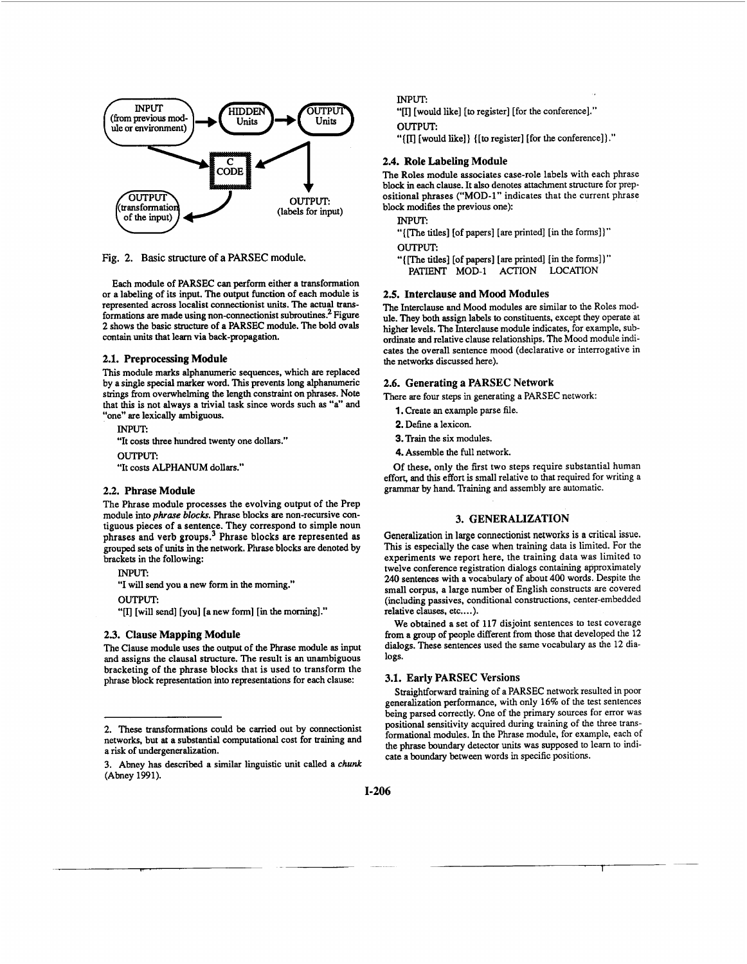

**Fig. 2.** Basic **structure of a PARSEC module.** 

Each module of PARSEC can perform either a transformation or a labeling of its input. The output function of each module is represented across localist connectionist units. The actual **trans**formations are made using non-connectionist subroutines.<sup>2</sup> Figure **2** shows the basic structure of a PARSEC module. The bold ovals contain units that learn via back-propagation.

## **2.1. Preprocessing Module**

**This** module marks alphanumeric sequences, which are replaced by a single special marker word. **This** prevents long alphanumeric **strings** from overwhelming the length constraint on phrases. Note that this is not always a trivial task since words such **as** "a" and "one" are lexically ambiguous.

INPHT. "It costs three hundred twenty one dollars." **OUTPUT:**  "It costs ALPHANUM dollars."

# **2.2. Phrase Module**

The Phrase module processes the evolving output of the Prep module into *phrase blocks*. Phrase blocks are non-recursive contiguous pieces of a sentence. They correspond to simple noun phrases and verb group^.^ Phrase blocks are represented **as**  grouped *sets* of units in the network. Phrase blocks are denoted by brackets in the following:

**INPUT:** 

"I will send you a new form in the moming."

**OUTPUT:** 

"[I] [will send] [you] [a new form] [in the morning]."

# **2.3. Clause Mapping Module**

The Clause module **uses** the output of the Phrase module **as** input and assigns the clausal structure. The result is an unambiguous bracketing of the phrase blocks that is used to transform the phrase block representation **into** representations for each clause:

INPUT:

"[I] [would like] **[to** register] [for the conference]." OUTPUT:

"{ [would like]} **{[to** register] [for the conference]] ."

#### **2.4. Role Labeling Module**

The Roles module associates case-role labels with each phrase block in each clause. It also denotes attachment structure for prepositional phrases ("MOD-1'' indicates that the current phrase block modifies the previous one):

**INPUT:** 

"{[The titles] [of papers] [are printed] [in the forms]]" OUTPUT:

"{[The titles] [of papers] [are printed] [in the forms])" PATIENT MOD-1 ACTION LOCATION

# **2.5. Interclause and Mood Modules**

The Interclause and Mood modules are similar to the Roles module. They both assign labels to constituents. except they operate at higher levels. The Interclause module indicates, for example, subordinate and relative clause relationships. The Mood module indicates the overall sentence mood (declarative or interrogative in the networks discussed here).

### **2.6. Generating a PARSEC Network**

There are four steps in generating a PARSEC network:

- **1.** Create an example parse file.
- **2.** Define a lexicon.
- 3. Train the six modules.
- **4.** Assemble the full network.

Of these, only the first two steps require substantial human effort, and this effort is small relative to that required for writing a grammar by hand. Training and assembly are automatic.

# **3. GENERALIZATION**

Generalization in large connectionist networks **is a** critical issue. **This** is especially the case when training data is limited. For the experiments we report here, the training data was limited to twelve conference registration dialogs containing approximately **240** sentences with a vocabulary of about **400** words. Despite the small corpus, a large number of English constructs are covered (including passives, conditional constructions, center-embedded relative clauses, etc....).

We obtained a set of 117 disjoint sentences to test coverage from a group of people different from those that developed the 12 dialogs. These sentences used the same vocabulary as the 12 dialogs.

# **3.1. Early PARSEC Versions**

Straightforward training of a PARSEC network resulted in poor generalization performance, with only 16% of the test sentences being parsed correctly. One of the primary sources for error was positional sensitivity acquired during training *of* the three **trans**formational modules. In the Phrase module, for example, each of the phrase boundary detector **units** was supposed to learn to indicate a boundary between words in specific positions.

<sup>2.</sup> These transformations could be carried out by connectionist networks, but at a substantial computational cost for training and a risk of undergeneralization.

<sup>3.</sup> Abney has described a similar linguistic unit called a chunk (Abney 1991).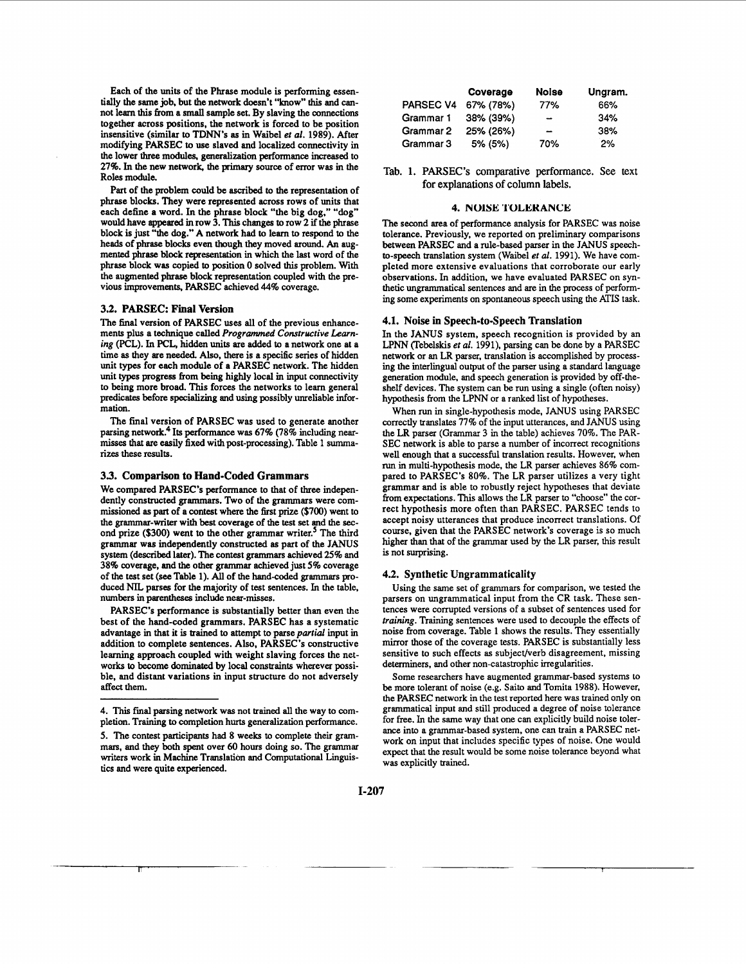Each of the units of the Phrase module is performing essentially the same job. but the network doesn't "know'\* **this** and cannot leam **this** *from* a *small* sample set. By slaving the connections together across positions, the network is forced to be position insensitive (similar to TDN"s **as** in Waibel er al. 1989). After modifying PARSEC to use slaved **and** localized connectivity in the lower three modules, generalization performance increased to **27%.** In the new network, the *primary* source of error was in the Roles module.

Part of the problem could be **ascribed** to the representation of phrase blocks. They were represented across rows of units that each define a word. In the phrase block "the big dog," **"dog"**  would have appeared in row 3. This changes to row **2** if **the** phrase block is just "the **dog."** A network had to learn to respond to the heads of phrase blocks even **though** they moved around. *An* augmented phrase block representation in which the last word of the phrase block was copied to position **0** solved **this** problem. With the augmented phrase block representation coupled with the previous improvements, PARSEC achieved **44%** coverage.

#### **3.2. PARSEC: Final Version**

The final version of PARSEC uses all of the previous enhancements plus a technique called Programmed Constructive Learn*ing* (PCL). In **PCL,** hidden **units** are added to **a** network one at a time **as** they are **needed.** Also, there is a specific series of hidden unit types for each module of a PARSEC network. The hidden unit **types** progress from beiig highly local in input connectivity to being more broad. **This** forces the networks to learn general predicates before specializing and using possibly unreliable **infor**mation.

The final version of PARSEC was used to generate another parsing network.<sup>4</sup> Its performance was 67% (78% including nearmisses that are easily **fixed** with post-processing). Table 1 summarizes these results.

#### **3.3. Comparison to Hand-Coded Grammars**

We compared PARSEC's performance to that of three independently constructed grammars. Two of the grammars were commissioned **as** part of a contest where the first prize **(\$700)** went to the grammar-writer with best coverage of the test set and the **sec**ond prize **(\$300)** went to the other grammar writer.<sup>5</sup> The third grammar was independently constructed **as** part of the JANUS system (described later). The contest grammars achieved **25%** and 38% coverage, and **the** *other* grammar achieved just *5%* coverage of **the** test set **(see** Table **1).** *All* of the hand-coded grammars produced NIL parses for the majority of test sentences. In the table, numbers in parentheses include near-misses.

PARSEC's performance is substantially better than even the best of the hand-coded grammars. PARSEC has a systematic advantage in that it is trained to attempt to parse *partial* input in addition to complete sentences. Also, PARSEC's constructive learning approach coupled with weight slaving forces the networks to become dominated **by** local **constraints** wherever possible, and distant variations in input structure do not adversely affect them.

|                  | Coverage  | Noise                    | Ungram. |
|------------------|-----------|--------------------------|---------|
| <b>PARSEC V4</b> | 67% (78%) | 77%                      | 66%     |
| Grammar 1        | 38% (39%) | -                        | 34%     |
| Grammar 2        | 25% (26%) | $\overline{\phantom{a}}$ | 38%     |
| Grammar 3        | 5% (5%)   | 70%                      | 2%      |

Tab. **1. PARSEC's** comparative performance. See **text**  for explanations of column labels.

#### **4. NOlSE 'I'OLEKANCE**

The second area of performance analysis for PARSEC was noise tolerance. Previously. we reported on preliminary comparisons between PARSEC and a rule-based parser in the JANUS speechto-speech translation system (Waibel *et al.* 1991). We have completed more extensive evaluations that corroborate our early observations. In addition, we have evaluated PARSEC on synthetic ungrammatical sentences and are in the process of performing some experiments *on* spontaneous speech using the ATIS task.

#### **4.1. Noise in Speech-to-Speech Translation**

**In** the JANUS system, speech recognition is provided by an LPNN (Tebelskis *et al.* 1991), parsing can be done by a PARSEC network or an LR parser, translation is accomplished by processing the interlingual output of the parser using a standard language generation module, and speech generation is provided by off-theshelf devices. The system can be run using a single (often noisy) hypothesis from the LPNN or a ranked list of hypotheses.

When run in single-hypothesis mode, JANUS **using** PARSEC correctly translates **77%** of the input utterances, and JANUS using the LR parser (Grammar 3 in the table) achieves **70%.** The PAR-SEC network is able to parse a number of incorrect recognitions well enough that a successful translation results. However, when **run** in multi-hypothesis mode, the LR parser achieves 86% compared to PARSEC's 80%. The LR parser utilizes a very tight grammar and is able to robustly reject hypotheses that deviate from expectations. This allows the LR parser to "choose" the correct hypothesis more often than PARSEC. PARSEC tends to accept noisy utterances that produce incorrect translations. Of course, given that the PARSEC network's coverage is **so** much higher than that of the grammar used by the LR parser, this result is not surprising.

#### **4.2. Synthetic Ungrammaticality**

Using the same set of grammars for comparison. we tested the parsers on ungrammatical input from the CR task. These sentences were corrupted versions of a subset of sentences used for *training*. Training sentences were used to decouple the effects of noise from coverage. Table 1 shows the results. They essentially mirror those of the coverage tests. PARSEC is substantially less sensitive to such effects as subject/verb disagreement, missing determiners, and other non-catastrophic irregularities.

Some researchers have augmented grammar-based systems to be more tolerant of noise (e.g. Saito **and** Tomita 1988). However, the PARSEC network in the test reported here was trained only on grammatical input and still produced a degree of noise tolerance for free. In the same way that one can explicitly build noise toler*ance* **into** a grammar-based system. one can train a PARSEC network on input that includes specific types of noise. One would expect that the result would be some noise tolerance beyond what was explicitly trained.

I

**<sup>4.</sup>** This final parsing network was not trained all the way to completion. Training to completion hurts generalization performance.

**S.** The contest participants had 8 weeks to complete their grammars, and they both spent over 60 hours doing **so.** The grammar writers work in Machine Translation and Computational Linguistics and were quite experienced.